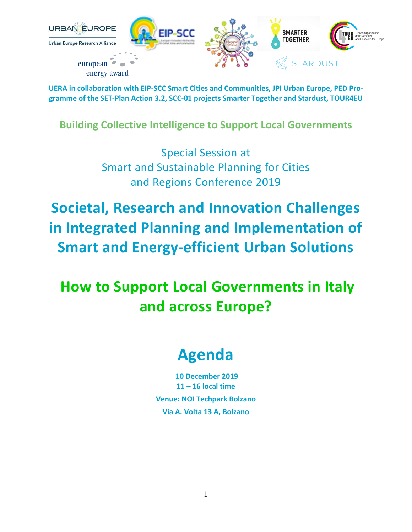

**Building Collective Intelligence to Support Local Governments**

Special Session at Smart and Sustainable Planning for Cities and Regions Conference 2019

**Societal, Research and Innovation Challenges in Integrated Planning and Implementation of Smart and Energy-efficient Urban Solutions**

**How to Support Local Governments in Italy and across Europe?**

## **Agenda**

**10 December 2019 11 – 16 local time Venue: NOI Techpark Bolzano Via A. Volta 13 A, Bolzano**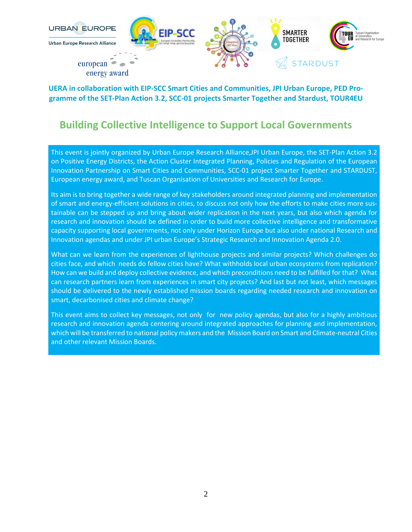

### **Building Collective Intelligence to Support Local Governments**

This event is jointly organized by Urban Europe Research Alliance,JPI Urban Europe, the SET-Plan Action 3.2 on Positive Energy Districts, the Action Cluster Integrated Planning, Policies and Regulation of the European Innovation Partnership on Smart Cities and Communities, SCC-01 project Smarter Together and STARDUST, European energy award, and Tuscan Organisation of Universities and Research for Europe.

Its aim is to bring together a wide range of key stakeholders around integrated planning and implementation of smart and energy-efficient solutions in cities, to discuss not only how the efforts to make cities more sustainable can be stepped up and bring about wider replication in the next years, but also which agenda for research and innovation should be defined in order to build more collective intelligence and transformative capacity supporting local governments, not only under Horizon Europe but also under national Research and Innovation agendas and under JPI urban Europe's Strategic Research and Innovation Agenda 2.0.

What can we learn from the experiences of lighthouse projects and similar projects? Which challenges do cities face, and which needs do fellow cities have? What withholds local urban ecosystems from replication? How can we build and deploy collective evidence, and which preconditions need to be fulfilled for that? What can research partners learn from experiences in smart city projects? And last but not least, which messages should be delivered to the newly established mission boards regarding needed research and innovation on smart, decarbonised cities and climate change?

This event aims to collect key messages, not only for new policy agendas, but also for a highly ambitious research and innovation agenda centering around integrated approaches for planning and implementation, which will be transferred to national policy makers and the Mission Board on Smart and Climate-neutral Cities and other relevant Mission Boards.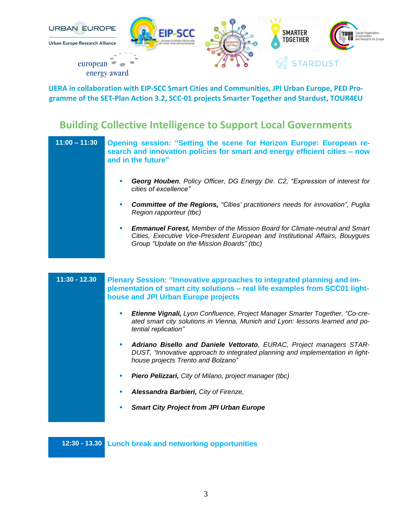

### **Building Collective Intelligence to Support Local Governments**

| $11:00 - 11:30$ | Opening session: "Setting the scene for Horizon Europe: European re-<br>search and innovation policies for smart and energy efficient cities – now<br>and in the future"                                              |
|-----------------|-----------------------------------------------------------------------------------------------------------------------------------------------------------------------------------------------------------------------|
|                 | Georg Houben, Policy Officer, DG Energy Dir. C2, "Expression of interest for<br>ш<br>cities of excellence"                                                                                                            |
|                 | <b>Committee of the Regions, "Cities' practitioners needs for innovation", Puglia</b><br>ш<br>Region rapporteur (tbc)                                                                                                 |
|                 | <b>Emmanuel Forest, Member of the Mission Board for Climate-neutral and Smart</b><br>ш<br>Cities, Executive Vice-President European and Institutional Affairs, Bouygues<br>Group "Update on the Mission Boards" (tbc) |
|                 |                                                                                                                                                                                                                       |
| $11:30 - 12.30$ | Plenary Session: "Innovative approaches to integrated planning and im-<br>plementation of smart city solutions - real life examples from SCC01 light-<br>house and JPI Urban Europe projects                          |
|                 | Etienne Vignali, Lyon Confluence, Project Manager Smarter Together, "Co-cre-<br>ш<br>ated smart city solutions in Vienna, Munich and Lyon: lessons learned and po-<br>tential replication"                            |
|                 | Adriano Bisello and Daniele Vettorato, EURAC, Project managers STAR-<br>ш<br>DUST, "Innovative approach to integrated planning and implementation in light-<br>house projects Trento and Bolzano"                     |
|                 | Piero Pelizzari, City of Milano, project manager (tbc)<br>ш                                                                                                                                                           |
|                 | Alessandra Barbieri, City of Firenze,<br>ш                                                                                                                                                                            |
|                 | <b>Smart City Project from JPI Urban Europe</b><br>ш                                                                                                                                                                  |

**12:30 - 13.30 Lunch break and networking opportunities**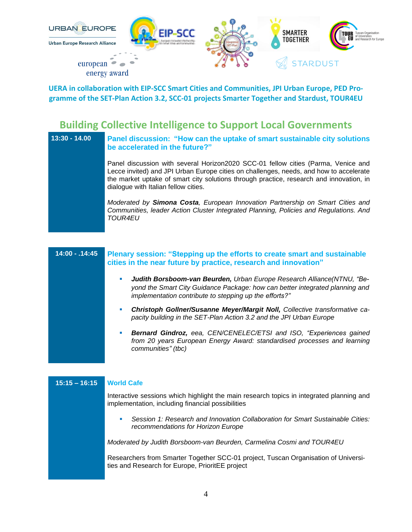

#### **Building Collective Intelligence to Support Local Governments**

| $13:30 - 14.00$ | Panel discussion: "How can the uptake of smart sustainable city solutions<br>be accelerated in the future?"                                                                                                                                                                                                    |
|-----------------|----------------------------------------------------------------------------------------------------------------------------------------------------------------------------------------------------------------------------------------------------------------------------------------------------------------|
|                 | Panel discussion with several Horizon2020 SCC-01 fellow cities (Parma, Venice and<br>Lecce invited) and JPI Urban Europe cities on challenges, needs, and how to accelerate<br>the market uptake of smart city solutions through practice, research and innovation, in<br>dialogue with Italian fellow cities. |
|                 | Moderated by Simona Costa, European Innovation Partnership on Smart Cities and<br>Communities, leader Action Cluster Integrated Planning, Policies and Regulations. And<br><i>TOUR4EU</i>                                                                                                                      |

| $14:00 - .14:45$ | Plenary session: "Stepping up the efforts to create smart and sustainable<br>cities in the near future by practice, research and innovation"                                                                          |
|------------------|-----------------------------------------------------------------------------------------------------------------------------------------------------------------------------------------------------------------------|
|                  | Judith Borsboom-van Beurden, Urban Europe Research Alliance(NTNU, "Be-<br>ш<br>yond the Smart City Guidance Package: how can better integrated planning and<br>implementation contribute to stepping up the efforts?" |
|                  | Christoph Gollner/Susanne Meyer/Margit Noll, Collective transformative ca-<br>ш<br>pacity building in the SET-Plan Action 3.2 and the JPI Urban Europe                                                                |
|                  | Bernard Gindroz, eea, CEN/CENELEC/ETSI and ISO, "Experiences gained<br>ш<br>from 20 years European Energy Award: standardised processes and learning<br>communities" (tbc)                                            |
|                  |                                                                                                                                                                                                                       |
| $15:15 - 16:15$  | <b>World Cafe</b>                                                                                                                                                                                                     |

Interactive sessions which highlight the main research topics in integrated planning and implementation, including financial possibilities

▪ *Session 1: Research and Innovation Collaboration for Smart Sustainable Cities: recommendations for Horizon Europe*

*Moderated by Judith Borsboom-van Beurden, Carmelina Cosmi and TOUR4EU*

Researchers from Smarter Together SCC-01 project, Tuscan Organisation of Universities and Research for Europe, PrioritEE project